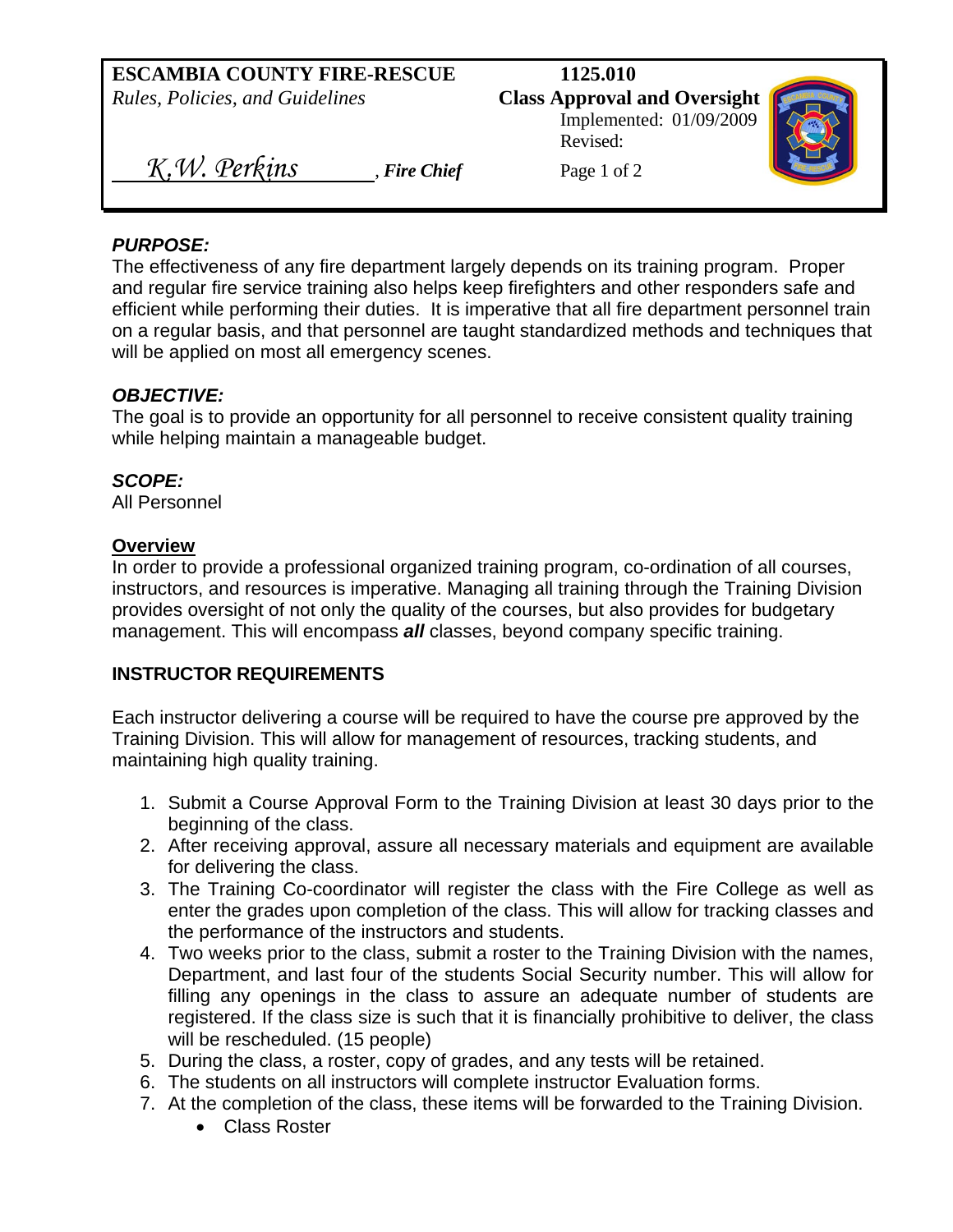## **ESCAMBIA COUNTY FIRE-RESCUE 1125.010**  *Rules, Policies, and Guidelines* **Class Approval and Oversight** Implemented: 01/09/2009 Revised: *K.W. Perkins Fire Chief* Page 1 of 2

### *PURPOSE:*

The effectiveness of any fire department largely depends on its training program. Proper and regular fire service training also helps keep firefighters and other responders safe and efficient while performing their duties. It is imperative that all fire department personnel train on a regular basis, and that personnel are taught standardized methods and techniques that will be applied on most all emergency scenes.

#### *OBJECTIVE:*

The goal is to provide an opportunity for all personnel to receive consistent quality training while helping maintain a manageable budget.

### *SCOPE:*

All Personnel

#### **Overview**

In order to provide a professional organized training program, co-ordination of all courses, instructors, and resources is imperative. Managing all training through the Training Division provides oversight of not only the quality of the courses, but also provides for budgetary management. This will encompass *all* classes, beyond company specific training.

### **INSTRUCTOR REQUIREMENTS**

Each instructor delivering a course will be required to have the course pre approved by the Training Division. This will allow for management of resources, tracking students, and maintaining high quality training.

- 1. Submit a Course Approval Form to the Training Division at least 30 days prior to the beginning of the class.
- 2. After receiving approval, assure all necessary materials and equipment are available for delivering the class.
- 3. The Training Co-coordinator will register the class with the Fire College as well as enter the grades upon completion of the class. This will allow for tracking classes and the performance of the instructors and students.
- 4. Two weeks prior to the class, submit a roster to the Training Division with the names, Department, and last four of the students Social Security number. This will allow for filling any openings in the class to assure an adequate number of students are registered. If the class size is such that it is financially prohibitive to deliver, the class will be rescheduled. (15 people)
- 5. During the class, a roster, copy of grades, and any tests will be retained.
- 6. The students on all instructors will complete instructor Evaluation forms.
- 7. At the completion of the class, these items will be forwarded to the Training Division.
	- Class Roster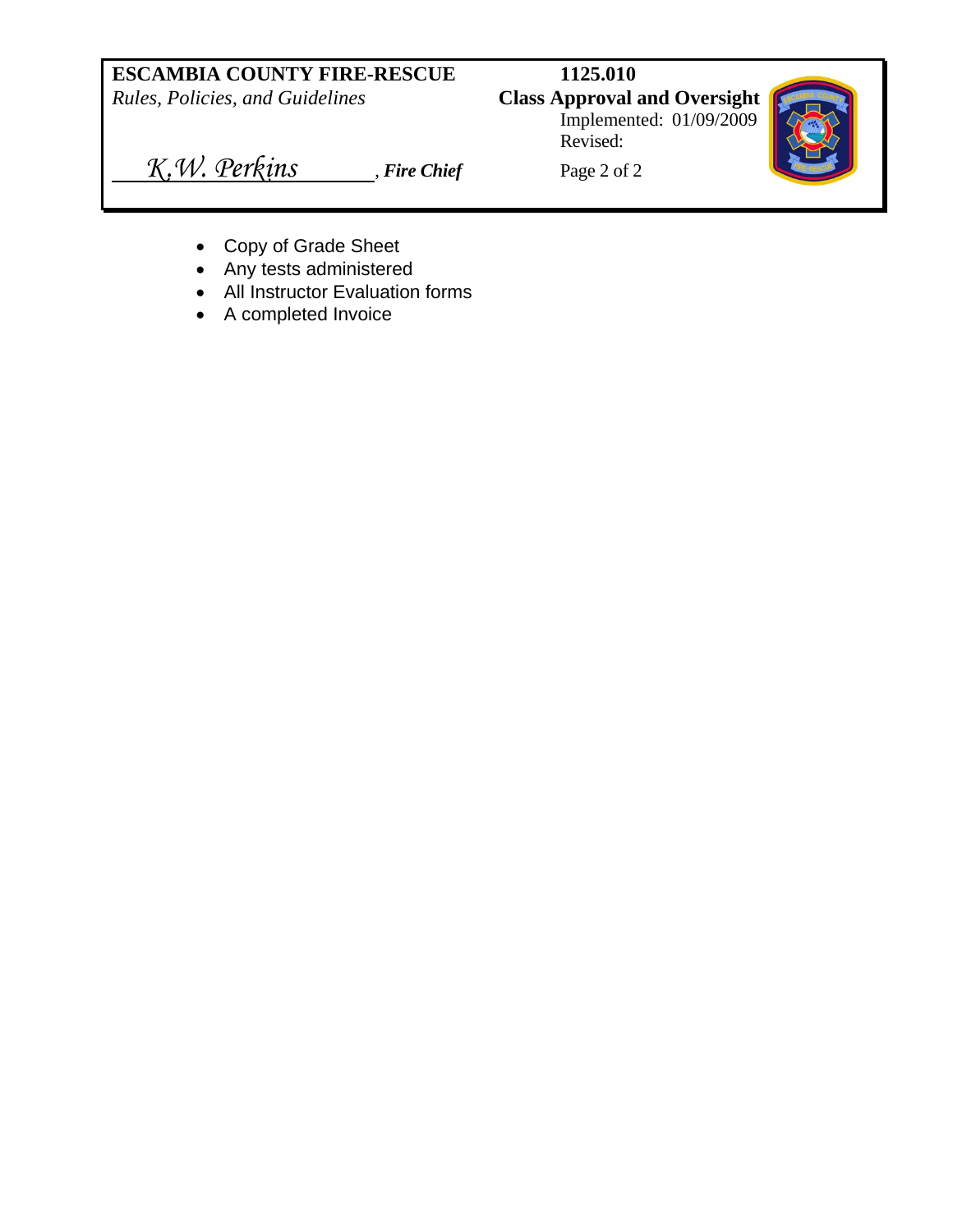# **ESCAMBIA COUNTY FIRE-RESCUE 1125.010**

*Rules, Policies, and Guidelines* **Class Approval and Oversight**

 Implemented: 01/09/2009 Revised:



*K.W. Perkins Fire Chief* Page 2 of 2

- Copy of Grade Sheet
- Any tests administered
- All Instructor Evaluation forms
- A completed Invoice